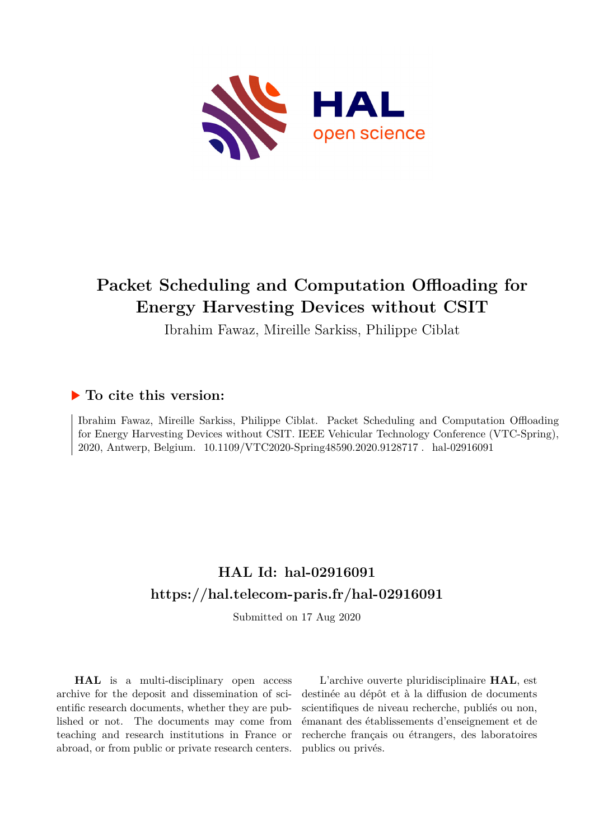

## **Packet Scheduling and Computation Offloading for Energy Harvesting Devices without CSIT**

Ibrahim Fawaz, Mireille Sarkiss, Philippe Ciblat

### **To cite this version:**

Ibrahim Fawaz, Mireille Sarkiss, Philippe Ciblat. Packet Scheduling and Computation Offloading for Energy Harvesting Devices without CSIT. IEEE Vehicular Technology Conference (VTC-Spring), 2020, Antwerp, Belgium.  $10.1109/\mathrm{VTC2020}$ -Spring48590.2020.9128717. hal-02916091

## **HAL Id: hal-02916091 <https://hal.telecom-paris.fr/hal-02916091>**

Submitted on 17 Aug 2020

**HAL** is a multi-disciplinary open access archive for the deposit and dissemination of scientific research documents, whether they are published or not. The documents may come from teaching and research institutions in France or abroad, or from public or private research centers.

L'archive ouverte pluridisciplinaire **HAL**, est destinée au dépôt et à la diffusion de documents scientifiques de niveau recherche, publiés ou non, émanant des établissements d'enseignement et de recherche français ou étrangers, des laboratoires publics ou privés.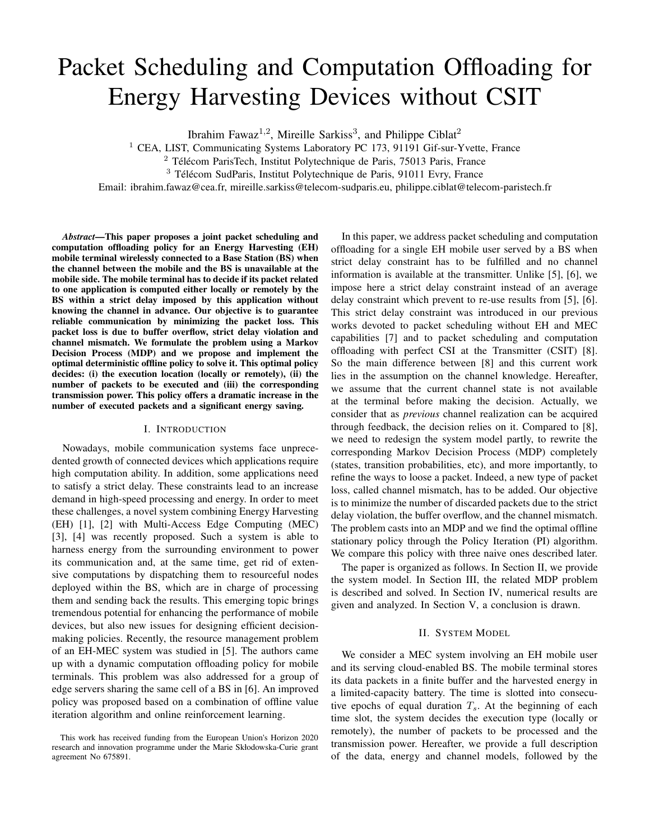# Packet Scheduling and Computation Offloading for Energy Harvesting Devices without CSIT

Ibrahim Fawaz<sup>1,2</sup>, Mireille Sarkiss<sup>3</sup>, and Philippe Ciblat<sup>2</sup>

<sup>1</sup> CEA, LIST, Communicating Systems Laboratory PC 173, 91191 Gif-sur-Yvette, France

 $^3$  Télécom SudParis, Institut Polytechnique de Paris, 91011 Evry, France

Email: ibrahim.fawaz@cea.fr, mireille.sarkiss@telecom-sudparis.eu, philippe.ciblat@telecom-paristech.fr

*Abstract*—This paper proposes a joint packet scheduling and computation offloading policy for an Energy Harvesting (EH) mobile terminal wirelessly connected to a Base Station (BS) when the channel between the mobile and the BS is unavailable at the mobile side. The mobile terminal has to decide if its packet related to one application is computed either locally or remotely by the BS within a strict delay imposed by this application without knowing the channel in advance. Our objective is to guarantee reliable communication by minimizing the packet loss. This packet loss is due to buffer overflow, strict delay violation and channel mismatch. We formulate the problem using a Markov Decision Process (MDP) and we propose and implement the optimal deterministic offline policy to solve it. This optimal policy decides: (i) the execution location (locally or remotely), (ii) the number of packets to be executed and (iii) the corresponding transmission power. This policy offers a dramatic increase in the number of executed packets and a significant energy saving.

#### I. INTRODUCTION

Nowadays, mobile communication systems face unprecedented growth of connected devices which applications require high computation ability. In addition, some applications need to satisfy a strict delay. These constraints lead to an increase demand in high-speed processing and energy. In order to meet these challenges, a novel system combining Energy Harvesting (EH) [1], [2] with Multi-Access Edge Computing (MEC) [3], [4] was recently proposed. Such a system is able to harness energy from the surrounding environment to power its communication and, at the same time, get rid of extensive computations by dispatching them to resourceful nodes deployed within the BS, which are in charge of processing them and sending back the results. This emerging topic brings tremendous potential for enhancing the performance of mobile devices, but also new issues for designing efficient decisionmaking policies. Recently, the resource management problem of an EH-MEC system was studied in [5]. The authors came up with a dynamic computation offloading policy for mobile terminals. This problem was also addressed for a group of edge servers sharing the same cell of a BS in [6]. An improved policy was proposed based on a combination of offline value iteration algorithm and online reinforcement learning.

In this paper, we address packet scheduling and computation offloading for a single EH mobile user served by a BS when strict delay constraint has to be fulfilled and no channel information is available at the transmitter. Unlike [5], [6], we impose here a strict delay constraint instead of an average delay constraint which prevent to re-use results from [5], [6]. This strict delay constraint was introduced in our previous works devoted to packet scheduling without EH and MEC capabilities [7] and to packet scheduling and computation offloading with perfect CSI at the Transmitter (CSIT) [8]. So the main difference between [8] and this current work lies in the assumption on the channel knowledge. Hereafter, we assume that the current channel state is not available at the terminal before making the decision. Actually, we consider that as *previous* channel realization can be acquired through feedback, the decision relies on it. Compared to [8], we need to redesign the system model partly, to rewrite the corresponding Markov Decision Process (MDP) completely (states, transition probabilities, etc), and more importantly, to refine the ways to loose a packet. Indeed, a new type of packet loss, called channel mismatch, has to be added. Our objective is to minimize the number of discarded packets due to the strict delay violation, the buffer overflow, and the channel mismatch. The problem casts into an MDP and we find the optimal offline stationary policy through the Policy Iteration (PI) algorithm. We compare this policy with three naive ones described later.

The paper is organized as follows. In Section II, we provide the system model. In Section III, the related MDP problem is described and solved. In Section IV, numerical results are given and analyzed. In Section V, a conclusion is drawn.

#### II. SYSTEM MODEL

We consider a MEC system involving an EH mobile user and its serving cloud-enabled BS. The mobile terminal stores its data packets in a finite buffer and the harvested energy in a limited-capacity battery. The time is slotted into consecutive epochs of equal duration  $T_s$ . At the beginning of each time slot, the system decides the execution type (locally or remotely), the number of packets to be processed and the transmission power. Hereafter, we provide a full description of the data, energy and channel models, followed by the

 $2$  Télécom ParisTech, Institut Polytechnique de Paris, 75013 Paris, France

This work has received funding from the European Union's Horizon 2020 research and innovation programme under the Marie Skłodowska-Curie grant agreement No 675891.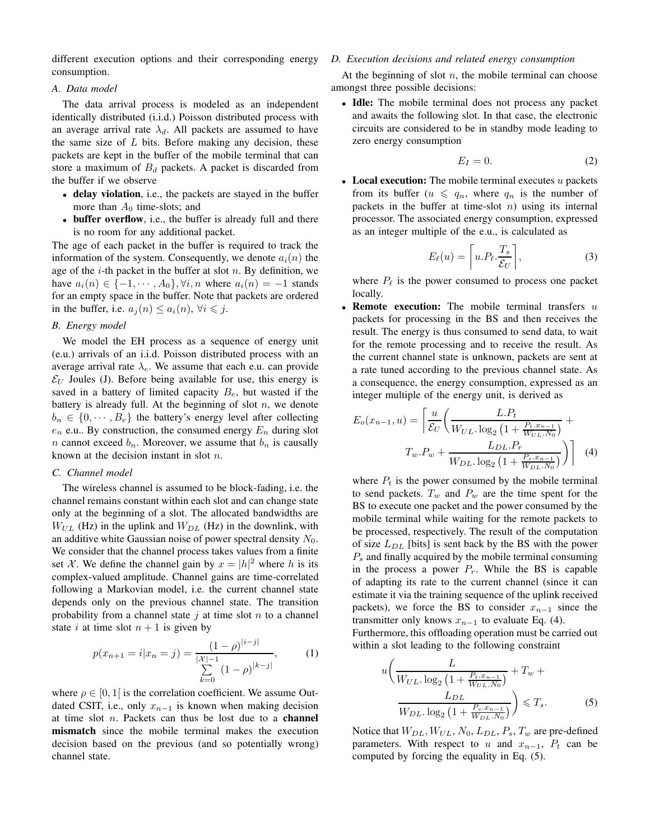different execution options and their corresponding energy consumption.

#### *A. Data model*

The data arrival process is modeled as an independent identically distributed (i.i.d.) Poisson distributed process with an average arrival rate  $\lambda_d$ . All packets are assumed to have the same size of  $L$  bits. Before making any decision, these packets are kept in the buffer of the mobile terminal that can store a maximum of  $B_d$  packets. A packet is discarded from the buffer if we observe

- delay violation, i.e., the packets are stayed in the buffer more than  $A_0$  time-slots; and
- **buffer overflow**, i.e., the buffer is already full and there is no room for any additional packet.

The age of each packet in the buffer is required to track the information of the system. Consequently, we denote  $a_i(n)$  the age of the  $i$ -th packet in the buffer at slot  $n$ . By definition, we have  $a_i(n) \in \{-1, \cdots, A_0\}, \forall i, n$  where  $a_i(n) = -1$  stands for an empty space in the buffer. Note that packets are ordered in the buffer, i.e.  $a_j(n) \leq a_i(n)$ ,  $\forall i \leq j$ .

#### *B. Energy model*

We model the EH process as a sequence of energy unit (e.u.) arrivals of an i.i.d. Poisson distributed process with an average arrival rate  $\lambda_e$ . We assume that each e.u. can provide  $\mathcal{E}_U$  Joules (J). Before being available for use, this energy is saved in a battery of limited capacity  $B_e$ , but wasted if the battery is already full. At the beginning of slot  $n$ , we denote  $b_n \in \{0, \dots, B_e\}$  the battery's energy level after collecting  $e_n$  e.u.. By construction, the consumed energy  $E_n$  during slot *n* cannot exceed  $b_n$ . Moreover, we assume that  $b_n$  is causally known at the decision instant in slot n.

#### *C. Channel model*

The wireless channel is assumed to be block-fading, i.e. the channel remains constant within each slot and can change state only at the beginning of a slot. The allocated bandwidths are  $W_{UL}$  (Hz) in the uplink and  $W_{DL}$  (Hz) in the downlink, with an additive white Gaussian noise of power spectral density  $N_0$ . We consider that the channel process takes values from a finite set X. We define the channel gain by  $x = |h|^2$  where h is its complex-valued amplitude. Channel gains are time-correlated following a Markovian model, i.e. the current channel state depends only on the previous channel state. The transition probability from a channel state  $i$  at time slot  $n$  to a channel state i at time slot  $n + 1$  is given by

$$
p(x_{n+1} = i | x_n = j) = \frac{(1 - \rho)^{|i - j|}}{\sum_{k=0}^{\lfloor \mathcal{X} \rfloor - 1} (1 - \rho)^{|k - j|}},
$$
 (1)

where  $\rho \in [0, 1]$  is the correlation coefficient. We assume Outdated CSIT, i.e., only  $x_{n-1}$  is known when making decision at time slot  $n$ . Packets can thus be lost due to a **channel** mismatch since the mobile terminal makes the execution decision based on the previous (and so potentially wrong) channel state.

#### *D. Execution decisions and related energy consumption*

At the beginning of slot  $n$ , the mobile terminal can choose amongst three possible decisions:

• Idle: The mobile terminal does not process any packet and awaits the following slot. In that case, the electronic circuits are considered to be in standby mode leading to zero energy consumption

$$
E_I = 0.\t\t(2)
$$

• Local execution: The mobile terminal executes  $u$  packets from its buffer  $(u \leq q_n)$ , where  $q_n$  is the number of packets in the buffer at time-slot  $n$ ) using its internal processor. The associated energy consumption, expressed as an integer multiple of the e.u., is calculated as

$$
E_{\ell}(u) = \left[ u.P_{\ell}.\frac{T_s}{\mathcal{E}_U} \right],\tag{3}
$$

where  $P_{\ell}$  is the power consumed to process one packet locally.

• Remote execution: The mobile terminal transfers  $u$ packets for processing in the BS and then receives the result. The energy is thus consumed to send data, to wait for the remote processing and to receive the result. As the current channel state is unknown, packets are sent at a rate tuned according to the previous channel state. As a consequence, the energy consumption, expressed as an integer multiple of the energy unit, is derived as

$$
E_o(x_{n-1}, u) = \left[ \frac{u}{\mathcal{E}_U} \left( \frac{L.P_t}{W_{UL} \cdot \log_2 \left( 1 + \frac{P_t . x_{n-1}}{W_{UL} . N_0} \right)} + \right. \\
T_w . P_w + \frac{L_{DL} . P_r}{W_{DL} . \log_2 \left( 1 + \frac{P_s . x_{n-1}}{W_{DL} . N_0} \right)} \right) \right]
$$
(4)

where  $P_t$  is the power consumed by the mobile terminal to send packets.  $T_w$  and  $P_w$  are the time spent for the BS to execute one packet and the power consumed by the mobile terminal while waiting for the remote packets to be processed, respectively. The result of the computation of size  $L_{DL}$  [bits] is sent back by the BS with the power  $P_s$  and finally acquired by the mobile terminal consuming in the process a power  $P_r$ . While the BS is capable of adapting its rate to the current channel (since it can estimate it via the training sequence of the uplink received packets), we force the BS to consider  $x_{n-1}$  since the transmitter only knows  $x_{n-1}$  to evaluate Eq. (4).

Furthermore, this offloading operation must be carried out within a slot leading to the following constraint

$$
u\left(\frac{L}{W_{UL} \cdot \log_2\left(1 + \frac{P_t \cdot x_{n-1}}{W_{UL} \cdot N_0}\right)} + T_w + \frac{L_{DL}}{W_{DL} \cdot \log_2\left(1 + \frac{P_s \cdot x_{n-1}}{W_{DL} \cdot N_0}\right)}\right) \leq T_s.
$$
 (5)

Notice that  $W_{DL}$ ,  $W_{UL}$ ,  $N_0$ ,  $L_{DL}$ ,  $P_s$ ,  $T_w$  are pre-defined parameters. With respect to u and  $x_{n-1}$ ,  $P_t$  can be computed by forcing the equality in Eq. (5).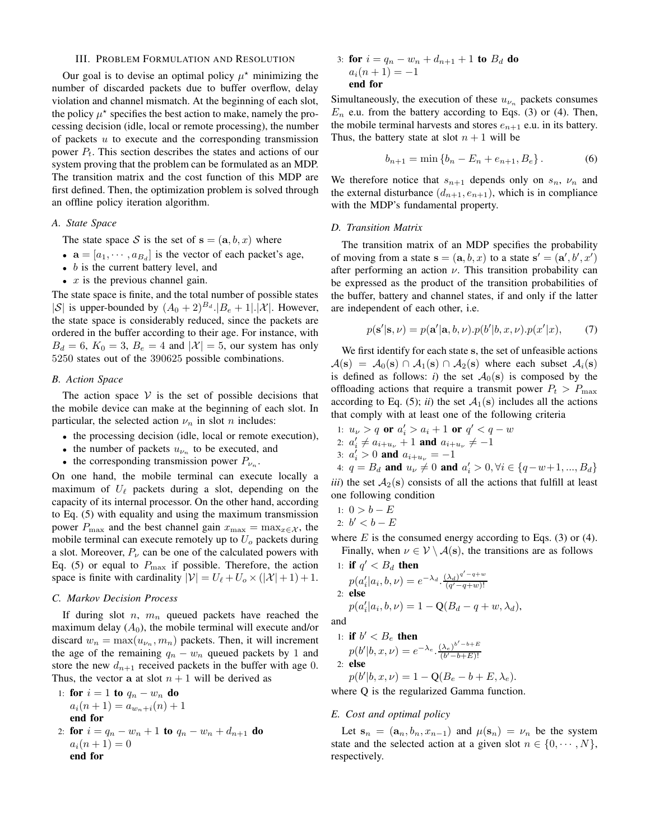#### III. PROBLEM FORMULATION AND RESOLUTION

Our goal is to devise an optimal policy  $\mu^*$  minimizing the number of discarded packets due to buffer overflow, delay violation and channel mismatch. At the beginning of each slot, the policy  $\mu^*$  specifies the best action to make, namely the processing decision (idle, local or remote processing), the number of packets  $u$  to execute and the corresponding transmission power  $P_t$ . This section describes the states and actions of our system proving that the problem can be formulated as an MDP. The transition matrix and the cost function of this MDP are first defined. Then, the optimization problem is solved through an offline policy iteration algorithm.

#### *A. State Space*

The state space S is the set of  $s = (a, b, x)$  where

- $\mathbf{a} = [a_1, \dots, a_{B_d}]$  is the vector of each packet's age,
- $\bullet$  b is the current battery level, and
- $x$  is the previous channel gain.

The state space is finite, and the total number of possible states |S| is upper-bounded by  $(A_0 + 2)^{B_d}$ .| $B_e + 1$ |.|X|. However, the state space is considerably reduced, since the packets are ordered in the buffer according to their age. For instance, with  $B_d = 6$ ,  $K_0 = 3$ ,  $B_e = 4$  and  $|\mathcal{X}| = 5$ , our system has only 5250 states out of the 390625 possible combinations.

#### *B. Action Space*

The action space  $V$  is the set of possible decisions that the mobile device can make at the beginning of each slot. In particular, the selected action  $\nu_n$  in slot *n* includes:

- the processing decision (idle, local or remote execution),
- the number of packets  $u_{\nu_n}$  to be executed, and
- the corresponding transmission power  $P_{\nu_n}$ .

On one hand, the mobile terminal can execute locally a maximum of  $U_{\ell}$  packets during a slot, depending on the capacity of its internal processor. On the other hand, according to Eq. (5) with equality and using the maximum transmission power  $P_{\text{max}}$  and the best channel gain  $x_{\text{max}} = \max_{x \in \mathcal{X}}$ , the mobile terminal can execute remotely up to  $U<sub>o</sub>$  packets during a slot. Moreover,  $P_{\nu}$  can be one of the calculated powers with Eq. (5) or equal to  $P_{\text{max}}$  if possible. Therefore, the action space is finite with cardinality  $|\mathcal{V}| = U_{\ell} + U_o \times (|\mathcal{X}| + 1) + 1$ .

#### *C. Markov Decision Process*

If during slot n,  $m_n$  queued packets have reached the maximum delay  $(A_0)$ , the mobile terminal will execute and/or discard  $w_n = \max(u_{\nu_n}, m_n)$  packets. Then, it will increment the age of the remaining  $q_n - w_n$  queued packets by 1 and store the new  $d_{n+1}$  received packets in the buffer with age 0. Thus, the vector a at slot  $n + 1$  will be derived as

1: **for** 
$$
i = 1
$$
 **to**  $q_n - w_n$  **do**  
\n $a_i(n+1) = a_{w_n+i}(n) + 1$   
\n**end for**  
\n2: **for**  $i = q_n - w_n + 1$  **to**  $q_n - w_n + d_{n+1}$  **do**  
\n $a_i(n+1) = 0$   
\n**end for**

3: **for** 
$$
i = q_n - w_n + d_{n+1} + 1
$$
 **to**  $B_d$  **do**  
 $a_i(n+1) = -1$   
**end for**

Simultaneously, the execution of these  $u_{\nu_n}$  packets consumes  $E_n$  e.u. from the battery according to Eqs. (3) or (4). Then, the mobile terminal harvests and stores  $e_{n+1}$  e.u. in its battery. Thus, the battery state at slot  $n + 1$  will be

$$
b_{n+1} = \min \{b_n - E_n + e_{n+1}, B_e\}.
$$
 (6)

We therefore notice that  $s_{n+1}$  depends only on  $s_n$ ,  $\nu_n$  and the external disturbance  $(d_{n+1}, e_{n+1})$ , which is in compliance with the MDP's fundamental property.

#### *D. Transition Matrix*

The transition matrix of an MDP specifies the probability of moving from a state  $\mathbf{s} = (\mathbf{a}, b, x)$  to a state  $\mathbf{s}' = (\mathbf{a}', b', x')$ after performing an action  $\nu$ . This transition probability can be expressed as the product of the transition probabilities of the buffer, battery and channel states, if and only if the latter are independent of each other, i.e.

$$
p(\mathbf{s}'|\mathbf{s}, \nu) = p(\mathbf{a}'|\mathbf{a}, b, \nu).p(b'|\mathbf{b}, x, \nu).p(x'|\mathbf{x}), \qquad (7)
$$

We first identify for each state s, the set of unfeasible actions  $A(s) = A_0(s) \cap A_1(s) \cap A_2(s)$  where each subset  $A_i(s)$ is defined as follows: *i*) the set  $A_0(s)$  is composed by the offloading actions that require a transmit power  $P_t > P_{\text{max}}$ according to Eq. (5); *ii*) the set  $A_1(s)$  includes all the actions that comply with at least one of the following criteria

\n- 1: 
$$
u_{\nu} > q
$$
 or  $a'_i > a_i + 1$  or  $q' < q - w$
\n- 2:  $a'_i \neq a_{i+u_{\nu}} + 1$  and  $a_{i+u_{\nu}} \neq -1$
\n- 3:  $a'_i > 0$  and  $a_{i+u_{\nu}} = -1$
\n- 4:  $q = B_d$  and  $u_{\nu} \neq 0$  and  $a'_i > 0$ ,  $\forall i \in \{q - w + 1, ..., B_d\}$
\n- iii) the set  $\mathcal{A}_2(\mathbf{s})$  consists of all the actions that fulfill at least
\n

*iii*) the set  $A_2(s)$  consists of all the actions that fulfill at least one following condition

1: 
$$
0 > b - E
$$
  
2:  $b' < b - E$ 

where  $E$  is the consumed energy according to Eqs. (3) or (4). Finally, when  $\nu \in V \setminus A(s)$ , the transitions are as follows

1: if 
$$
q' < B_d
$$
 then  
\n
$$
p(a'_i|a_i, b, \nu) = e^{-\lambda_d} \cdot \frac{(\lambda_d)^{q'-q+w}}{(q'-q+w)!}
$$
\n2: else  
\n
$$
p(a'_i|a_i, b, \nu) = 1 - Q(B_d - q + w, \lambda_d),
$$

and

1: if 
$$
b' < B_e
$$
 then  
\n $p(b'|b, x, \nu) = e^{-\lambda_e} \cdot \frac{(\lambda_e)^{b'-b+E}}{(b'-b+E)!}$   
\n2: else

$$
p(b'|b, x, \nu) = 1 - \mathbf{Q}(B_e - b + E, \lambda_e).
$$

where Q is the regularized Gamma function.

#### *E. Cost and optimal policy*

Let  $s_n = (a_n, b_n, x_{n-1})$  and  $\mu(s_n) = \nu_n$  be the system state and the selected action at a given slot  $n \in \{0, \dots, N\},\$ respectively.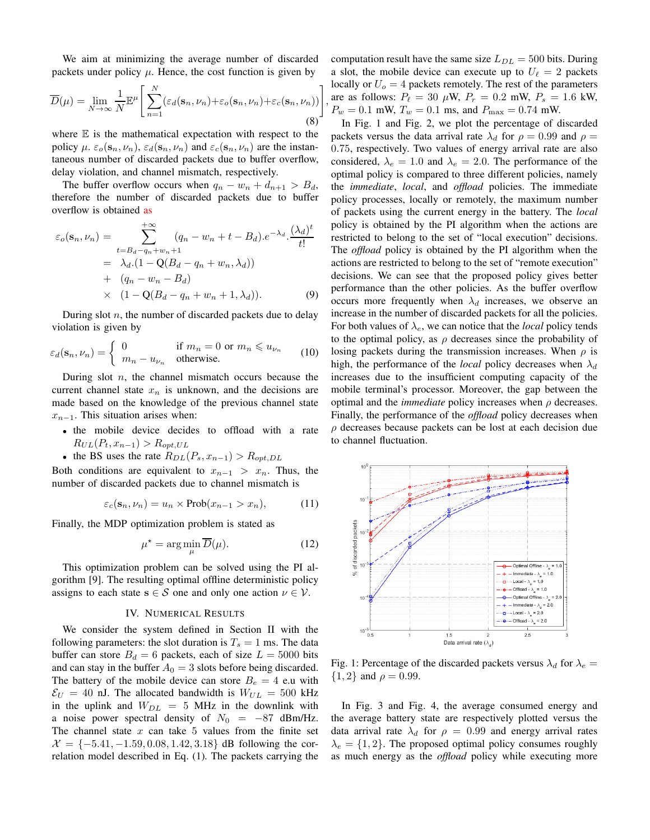We aim at minimizing the average number of discarded packets under policy  $\mu$ . Hence, the cost function is given by

$$
\overline{D}(\mu) = \lim_{N \to \infty} \frac{1}{N} \mathbb{E}^{\mu} \left[ \sum_{n=1}^{N} (\varepsilon_d(\mathbf{s}_n, \nu_n) + \varepsilon_o(\mathbf{s}_n, \nu_n) + \varepsilon_c(\mathbf{s}_n, \nu_n)) \right]
$$
(8)

where  $E$  is the mathematical expectation with respect to the policy  $\mu$ .  $\varepsilon_o(s_n, \nu_n)$ ,  $\varepsilon_d(s_n, \nu_n)$  and  $\varepsilon_c(s_n, \nu_n)$  are the instantaneous number of discarded packets due to buffer overflow, delay violation, and channel mismatch, respectively.

The buffer overflow occurs when  $q_n - w_n + d_{n+1} > B_d$ , therefore the number of discarded packets due to buffer overflow is obtained as

$$
\varepsilon_o(\mathbf{s}_n, \nu_n) = \sum_{t=B_d-q_n+w_n+1}^{+\infty} (q_n - w_n + t - B_d) \cdot e^{-\lambda_d} \cdot \frac{(\lambda_d)^t}{t!} \n= \lambda_d \cdot (1 - \mathbf{Q}(B_d - q_n + w_n, \lambda_d)) \n+ (q_n - w_n - B_d) \n\times (1 - \mathbf{Q}(B_d - q_n + w_n + 1, \lambda_d)).
$$
\n(9)

During slot  $n$ , the number of discarded packets due to delay violation is given by

$$
\varepsilon_d(\mathbf{s}_n, \nu_n) = \begin{cases} 0 & \text{if } m_n = 0 \text{ or } m_n \le u_{\nu_n} \\ m_n - u_{\nu_n} & \text{otherwise.} \end{cases}
$$
(10)

During slot  $n$ , the channel mismatch occurs because the current channel state  $x_n$  is unknown, and the decisions are made based on the knowledge of the previous channel state  $x_{n-1}$ . This situation arises when:

- the mobile device decides to offload with a rate  $R_{UL}(P_t, x_{n-1}) > R_{opt,UL}$
- the BS uses the rate  $R_{DL}(P_s, x_{n-1}) > R_{opt,DL}$

Both conditions are equivalent to  $x_{n-1} > x_n$ . Thus, the number of discarded packets due to channel mismatch is

$$
\varepsilon_c(\mathbf{s}_n, \nu_n) = u_n \times \text{Prob}(x_{n-1} > x_n), \tag{11}
$$

Finally, the MDP optimization problem is stated as

$$
\mu^* = \arg\min_{\mu} \overline{D}(\mu). \tag{12}
$$

This optimization problem can be solved using the PI algorithm [9]. The resulting optimal offline deterministic policy assigns to each state  $s \in S$  one and only one action  $\nu \in V$ .

#### IV. NUMERICAL RESULTS

We consider the system defined in Section II with the following parameters: the slot duration is  $T_s = 1$  ms. The data buffer can store  $B_d = 6$  packets, each of size  $L = 5000$  bits and can stay in the buffer  $A_0 = 3$  slots before being discarded. The battery of the mobile device can store  $B_e = 4$  e.u with  $\mathcal{E}_U = 40$  nJ. The allocated bandwidth is  $W_{UL} = 500$  kHz in the uplink and  $W_{DL} = 5$  MHz in the downlink with a noise power spectral density of  $N_0 = -87$  dBm/Hz. The channel state  $x$  can take  $5$  values from the finite set  $\mathcal{X} = \{-5.41, -1.59, 0.08, 1.42, 3.18\}$  dB following the correlation model described in Eq. (1). The packets carrying the computation result have the same size  $L_{DL} = 500$  bits. During a slot, the mobile device can execute up to  $U_{\ell} = 2$  packets locally or  $U<sub>o</sub> = 4$  packets remotely. The rest of the parameters are as follows:  $P_{\ell} = 30 \mu \text{W}$ ,  $P_r = 0.2 \text{ mW}$ ,  $P_s = 1.6 \text{ kW}$ ,  $P_w = 0.1$  mW,  $T_w = 0.1$  ms, and  $P_{\text{max}} = 0.74$  mW.

,

In Fig. 1 and Fig. 2, we plot the percentage of discarded packets versus the data arrival rate  $\lambda_d$  for  $\rho = 0.99$  and  $\rho =$ 0.75, respectively. Two values of energy arrival rate are also considered,  $\lambda_e = 1.0$  and  $\lambda_e = 2.0$ . The performance of the optimal policy is compared to three different policies, namely the *immediate*, *local*, and *offload* policies. The immediate policy processes, locally or remotely, the maximum number of packets using the current energy in the battery. The *local* policy is obtained by the PI algorithm when the actions are restricted to belong to the set of "local execution" decisions. The *offload* policy is obtained by the PI algorithm when the actions are restricted to belong to the set of "remote execution" decisions. We can see that the proposed policy gives better performance than the other policies. As the buffer overflow occurs more frequently when  $\lambda_d$  increases, we observe an increase in the number of discarded packets for all the policies. For both values of  $\lambda_e$ , we can notice that the *local* policy tends to the optimal policy, as  $\rho$  decreases since the probability of losing packets during the transmission increases. When  $\rho$  is high, the performance of the *local* policy decreases when  $\lambda_d$ increases due to the insufficient computing capacity of the mobile terminal's processor. Moreover, the gap between the optimal and the *immediate* policy increases when  $\rho$  decreases. Finally, the performance of the *offload* policy decreases when  $\rho$  decreases because packets can be lost at each decision due to channel fluctuation.



Fig. 1: Percentage of the discarded packets versus  $\lambda_d$  for  $\lambda_e =$  ${1, 2}$  and  $\rho = 0.99$ .

In Fig. 3 and Fig. 4, the average consumed energy and the average battery state are respectively plotted versus the data arrival rate  $\lambda_d$  for  $\rho = 0.99$  and energy arrival rates  $\lambda_e = \{1, 2\}$ . The proposed optimal policy consumes roughly as much energy as the *offload* policy while executing more